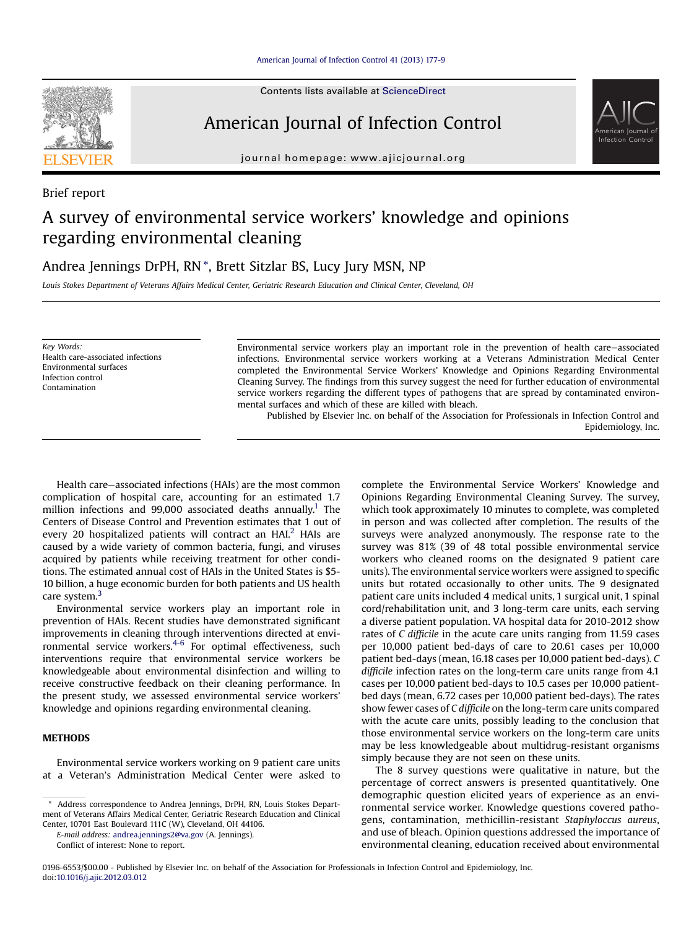

Contents lists available at ScienceDirect

## American Journal of Infection Control

journal homepage: [www.ajicjournal.org](http://www.ajicjournal.org)

Brief report

# A survey of environmental service workers' knowledge and opinions regarding environmental cleaning

Andrea Jennings DrPH, RN \*, Brett Sitzlar BS, Lucy Jury MSN, NP

Louis Stokes Department of Veterans Affairs Medical Center, Geriatric Research Education and Clinical Center, Cleveland, OH

Key Words: Health care-associated infections Environmental surfaces Infection control Contamination

Environmental service workers play an important role in the prevention of health care-associated infections. Environmental service workers working at a Veterans Administration Medical Center completed the Environmental Service Workers' Knowledge and Opinions Regarding Environmental Cleaning Survey. The findings from this survey suggest the need for further education of environmental service workers regarding the different types of pathogens that are spread by contaminated environmental surfaces and which of these are killed with bleach.

Published by Elsevier Inc. on behalf of the Association for Professionals in Infection Control and Epidemiology, Inc.

Health care–associated infections (HAIs) are the most common complication of hospital care, accounting for an estimated 1.7 million infections and 99,000 associated deaths annually.<sup>1</sup> The Centers of Disease Control and Prevention estimates that 1 out of every [2](#page-2-0)0 hospitalized patients will contract an HAI.<sup>2</sup> HAIs are caused by a wide variety of common bacteria, fungi, and viruses acquired by patients while receiving treatment for other conditions. The estimated annual cost of HAIs in the United States is \$5- 10 billion, a huge economic burden for both patients and US health care system.<sup>[3](#page-2-0)</sup>

Environmental service workers play an important role in prevention of HAIs. Recent studies have demonstrated significant improvements in cleaning through interventions directed at environmental service workers.[4-6](#page-2-0) For optimal effectiveness, such interventions require that environmental service workers be knowledgeable about environmental disinfection and willing to receive constructive feedback on their cleaning performance. In the present study, we assessed environmental service workers' knowledge and opinions regarding environmental cleaning.

## **METHODS**

Environmental service workers working on 9 patient care units at a Veteran's Administration Medical Center were asked to

E-mail address: [andrea.jennings2@va.gov](mailto:andrea.jennings2@va.gov) (A. Jennings).

Conflict of interest: None to report.

complete the Environmental Service Workers' Knowledge and Opinions Regarding Environmental Cleaning Survey. The survey, which took approximately 10 minutes to complete, was completed in person and was collected after completion. The results of the surveys were analyzed anonymously. The response rate to the survey was 81% (39 of 48 total possible environmental service workers who cleaned rooms on the designated 9 patient care units). The environmental service workers were assigned to specific units but rotated occasionally to other units. The 9 designated patient care units included 4 medical units, 1 surgical unit, 1 spinal cord/rehabilitation unit, and 3 long-term care units, each serving a diverse patient population. VA hospital data for 2010-2012 show rates of C difficile in the acute care units ranging from 11.59 cases per 10,000 patient bed-days of care to 20.61 cases per 10,000 patient bed-days (mean, 16.18 cases per 10,000 patient bed-days). C difficile infection rates on the long-term care units range from 4.1 cases per 10,000 patient bed-days to 10.5 cases per 10,000 patientbed days (mean, 6.72 cases per 10,000 patient bed-days). The rates show fewer cases of C difficile on the long-term care units compared with the acute care units, possibly leading to the conclusion that those environmental service workers on the long-term care units may be less knowledgeable about multidrug-resistant organisms simply because they are not seen on these units.

American Journal of Infection Control

The 8 survey questions were qualitative in nature, but the percentage of correct answers is presented quantitatively. One demographic question elicited years of experience as an environmental service worker. Knowledge questions covered pathogens, contamination, methicillin-resistant Staphyloccus aureus, and use of bleach. Opinion questions addressed the importance of environmental cleaning, education received about environmental

<sup>\*</sup> Address correspondence to Andrea Jennings, DrPH, RN, Louis Stokes Department of Veterans Affairs Medical Center, Geriatric Research Education and Clinical Center, 10701 East Boulevard 111C (W), Cleveland, OH 44106.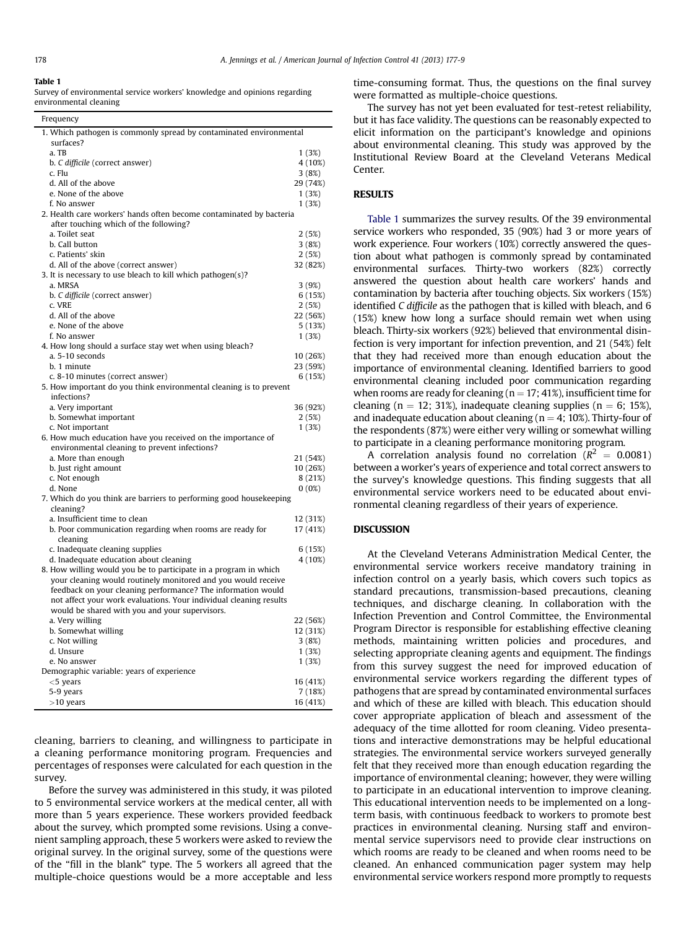#### Table 1

Survey of environmental service workers' knowledge and opinions regarding environmental cleaning

| Frequency                                                                                                                          |                |
|------------------------------------------------------------------------------------------------------------------------------------|----------------|
| 1. Which pathogen is commonly spread by contaminated environmental                                                                 |                |
| surfaces?                                                                                                                          |                |
| a. TB                                                                                                                              | 1(3%)          |
| b. C difficile (correct answer)                                                                                                    | 4 (10%)        |
| c. Flu                                                                                                                             | 3(8%)          |
| d. All of the above<br>e. None of the above                                                                                        | 29 (74%)       |
| f. No answer                                                                                                                       | 1(3%)<br>1(3%) |
| 2. Health care workers' hands often become contaminated by bacteria                                                                |                |
| after touching which of the following?                                                                                             |                |
| a. Toilet seat                                                                                                                     | 2(5%)          |
| b. Call button                                                                                                                     | 3(8%)          |
| c. Patients' skin                                                                                                                  | 2(5%)          |
| d. All of the above (correct answer)                                                                                               | 32 (82%)       |
| 3. It is necessary to use bleach to kill which pathogen(s)?                                                                        |                |
| a. MRSA                                                                                                                            | 3(9%)          |
| b. C difficile (correct answer)                                                                                                    | 6(15%)         |
| c. VRE                                                                                                                             | 2(5%)          |
| d. All of the above                                                                                                                | 22 (56%)       |
| e. None of the above                                                                                                               | 5(13%)         |
| f. No answer                                                                                                                       | 1(3%)          |
| 4. How long should a surface stay wet when using bleach?                                                                           |                |
| a. 5-10 seconds                                                                                                                    | 10 (26%)       |
| b. 1 minute                                                                                                                        | 23 (59%)       |
| c. 8-10 minutes (correct answer)                                                                                                   | 6(15%)         |
| 5. How important do you think environmental cleaning is to prevent                                                                 |                |
| infections?<br>a. Very important                                                                                                   | 36 (92%)       |
| b. Somewhat important                                                                                                              | 2(5%)          |
| c. Not important                                                                                                                   | 1(3%)          |
| 6. How much education have you received on the importance of                                                                       |                |
| environmental cleaning to prevent infections?                                                                                      |                |
| a. More than enough                                                                                                                | 21 (54%)       |
| b. Just right amount                                                                                                               | 10 (26%)       |
| c. Not enough                                                                                                                      | 8(21%)         |
| d. None                                                                                                                            | $0(0\%)$       |
| 7. Which do you think are barriers to performing good housekeeping                                                                 |                |
| cleaning?                                                                                                                          |                |
| a. Insufficient time to clean                                                                                                      | 12 (31%)       |
| b. Poor communication regarding when rooms are ready for                                                                           | 17 (41%)       |
| cleaning                                                                                                                           |                |
| c. Inadequate cleaning supplies                                                                                                    | 6(15%)         |
| d. Inadequate education about cleaning                                                                                             | 4 (10%)        |
| 8. How willing would you be to participate in a program in which                                                                   |                |
| your cleaning would routinely monitored and you would receive                                                                      |                |
| feedback on your cleaning performance? The information would<br>not affect your work evaluations. Your individual cleaning results |                |
| would be shared with you and your supervisors.                                                                                     |                |
| a. Very willing                                                                                                                    | 22 (56%)       |
| b. Somewhat willing                                                                                                                | 12 (31%)       |
| c. Not willing                                                                                                                     | 3(8%)          |
| d. Unsure                                                                                                                          | 1(3%)          |
| e. No answer                                                                                                                       | 1(3%)          |
| Demographic variable: years of experience                                                                                          |                |
| $<$ 5 years                                                                                                                        | 16 (41%)       |
| 5-9 years                                                                                                                          | 7(18%)         |
| $>10$ years                                                                                                                        | 16 (41%)       |

cleaning, barriers to cleaning, and willingness to participate in a cleaning performance monitoring program. Frequencies and percentages of responses were calculated for each question in the survey.

Before the survey was administered in this study, it was piloted to 5 environmental service workers at the medical center, all with more than 5 years experience. These workers provided feedback about the survey, which prompted some revisions. Using a convenient sampling approach, these 5 workers were asked to review the original survey. In the original survey, some of the questions were of the "fill in the blank" type. The 5 workers all agreed that the multiple-choice questions would be a more acceptable and less

time-consuming format. Thus, the questions on the final survey were formatted as multiple-choice questions.

The survey has not yet been evaluated for test-retest reliability, but it has face validity. The questions can be reasonably expected to elicit information on the participant's knowledge and opinions about environmental cleaning. This study was approved by the Institutional Review Board at the Cleveland Veterans Medical Center.

## **RESULTS**

Table 1 summarizes the survey results. Of the 39 environmental service workers who responded, 35 (90%) had 3 or more years of work experience. Four workers (10%) correctly answered the question about what pathogen is commonly spread by contaminated environmental surfaces. Thirty-two workers (82%) correctly answered the question about health care workers' hands and contamination by bacteria after touching objects. Six workers (15%) identified C difficile as the pathogen that is killed with bleach, and 6 (15%) knew how long a surface should remain wet when using bleach. Thirty-six workers (92%) believed that environmental disinfection is very important for infection prevention, and 21 (54%) felt that they had received more than enough education about the importance of environmental cleaning. Identified barriers to good environmental cleaning included poor communication regarding when rooms are ready for cleaning ( $n = 17$ ; 41%), insufficient time for cleaning (n = 12; 31%), inadequate cleaning supplies (n = 6; 15%), and inadequate education about cleaning ( $n = 4$ ; 10%). Thirty-four of the respondents (87%) were either very willing or somewhat willing to participate in a cleaning performance monitoring program.

A correlation analysis found no correlation ( $R^2 = 0.0081$ ) between a worker's years of experience and total correct answers to the survey's knowledge questions. This finding suggests that all environmental service workers need to be educated about environmental cleaning regardless of their years of experience.

## **DISCUSSION**

At the Cleveland Veterans Administration Medical Center, the environmental service workers receive mandatory training in infection control on a yearly basis, which covers such topics as standard precautions, transmission-based precautions, cleaning techniques, and discharge cleaning. In collaboration with the Infection Prevention and Control Committee, the Environmental Program Director is responsible for establishing effective cleaning methods, maintaining written policies and procedures, and selecting appropriate cleaning agents and equipment. The findings from this survey suggest the need for improved education of environmental service workers regarding the different types of pathogens that are spread by contaminated environmental surfaces and which of these are killed with bleach. This education should cover appropriate application of bleach and assessment of the adequacy of the time allotted for room cleaning. Video presentations and interactive demonstrations may be helpful educational strategies. The environmental service workers surveyed generally felt that they received more than enough education regarding the importance of environmental cleaning; however, they were willing to participate in an educational intervention to improve cleaning. This educational intervention needs to be implemented on a longterm basis, with continuous feedback to workers to promote best practices in environmental cleaning. Nursing staff and environmental service supervisors need to provide clear instructions on which rooms are ready to be cleaned and when rooms need to be cleaned. An enhanced communication pager system may help environmental service workers respond more promptly to requests